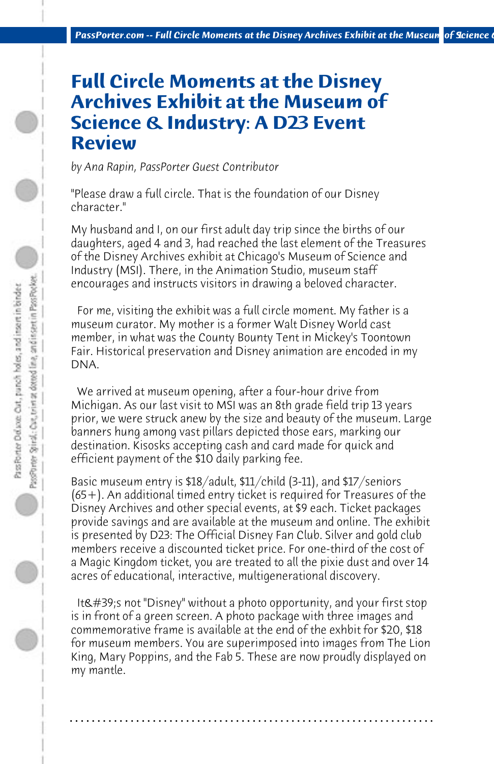## **Full Circle Moments at the Disney Archives Exhibit at the Museum of Science & Industry: A D23 Event Review**

*by Ana Rapin, PassPorter Guest Contributor*

"Please draw a full circle. That is the foundation of our Disney character."

My husband and I, on our first adult day trip since the births of our daughters, aged 4 and 3, had reached the last element of the Treasures of the Disney Archives exhibit at Chicago's Museum of Science and Industry (MSI). There, in the Animation Studio, museum staff encourages and instructs visitors in drawing a beloved character.

 For me, visiting the exhibit was a full circle moment. My father is a museum curator. My mother is a former Walt Disney World cast member, in what was the County Bounty Tent in Mickey's Toontown Fair. Historical preservation and Disney animation are encoded in my DNA.

 We arrived at museum opening, after a four-hour drive from Michigan. As our last visit to MSI was an 8th grade field trip 13 years prior, we were struck anew by the size and beauty of the museum. Large banners hung among vast pillars depicted those ears, marking our destination. Kisosks accepting cash and card made for quick and efficient payment of the \$10 daily parking fee.

Basic museum entry is \$18/adult, \$11/child (3-11), and \$17/seniors (65+). An additional timed entry ticket is required for Treasures of the Disney Archives and other special events, at \$9 each. Ticket packages provide savings and are available at the museum and online. The exhibit is presented by D23: The Official Disney Fan Club. Silver and gold club members receive a discounted ticket price. For one-third of the cost of a Magic Kingdom ticket, you are treated to all the pixie dust and over 14 acres of educational, interactive, multigenerational discovery.

It's not "Disney" without a photo opportunity, and your first stop is in front of a green screen. A photo package with three images and commemorative frame is available at the end of the exhbit for \$20, \$18 for museum members. You are superimposed into images from The Lion King, Mary Poppins, and the Fab 5. These are now proudly displayed on my mantle.

**. . . . . . . . . . . . . . . . . . . . . . . . . . . . . . . . . . . . . . . . . . . . . . . . . . . . . . . . . . . . . . . . . .**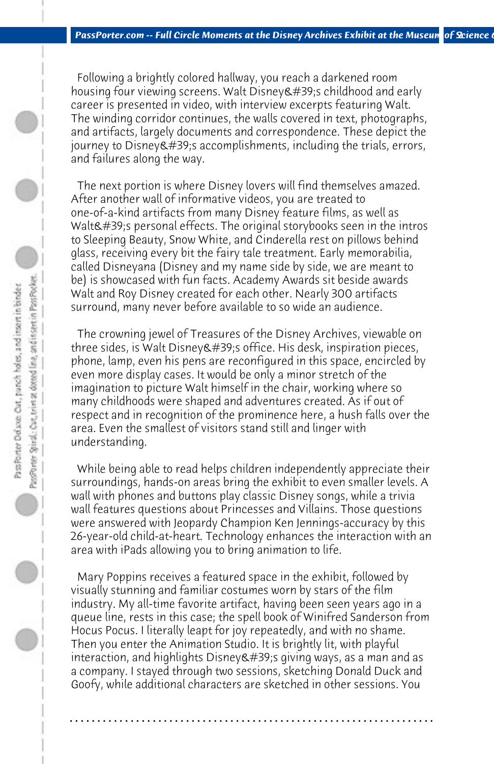Following a brightly colored hallway, you reach a darkened room housing four viewing screens. Walt Disney's childhood and early career is presented in video, with interview excerpts featuring Walt. The winding corridor continues, the walls covered in text, photographs, and artifacts, largely documents and correspondence. These depict the journey to Disney  $\&\#39$ ; saccomplishments, including the trials, errors, and failures along the way.

 The next portion is where Disney lovers will find themselves amazed. After another wall of informative videos, you are treated to one-of-a-kind artifacts from many Disney feature films, as well as Walt's personal effects. The original storybooks seen in the intros to Sleeping Beauty, Snow White, and Cinderella rest on pillows behind glass, receiving every bit the fairy tale treatment. Early memorabilia, called Disneyana (Disney and my name side by side, we are meant to be) is showcased with fun facts. Academy Awards sit beside awards Walt and Roy Disney created for each other. Nearly 300 artifacts surround, many never before available to so wide an audience.

 The crowning jewel of Treasures of the Disney Archives, viewable on three sides, is Walt Disney & #39:s office. His desk, inspiration pieces, phone, lamp, even his pens are reconfigured in this space, encircled by even more display cases. It would be only a minor stretch of the imagination to picture Walt himself in the chair, working where so many childhoods were shaped and adventures created. As if out of respect and in recognition of the prominence here, a hush falls over the area. Even the smallest of visitors stand still and linger with understanding.

 While being able to read helps children independently appreciate their surroundings, hands-on areas bring the exhibit to even smaller levels. A wall with phones and buttons play classic Disney songs, while a trivia wall features questions about Princesses and Villains. Those questions were answered with Jeopardy Champion Ken Jennings-accuracy by this 26-year-old child-at-heart. Technology enhances the interaction with an area with iPads allowing you to bring animation to life.

 Mary Poppins receives a featured space in the exhibit, followed by visually stunning and familiar costumes worn by stars of the film industry. My all-time favorite artifact, having been seen years ago in a queue line, rests in this case; the spell book of Winifred Sanderson from Hocus Pocus. I literally leapt for joy repeatedly, and with no shame. Then you enter the Animation Studio. It is brightly lit, with playful interaction, and highlights Disney &  $\#39$ ; giving ways, as a man and as a company. I stayed through two sessions, sketching Donald Duck and Goofy, while additional characters are sketched in other sessions. You

**. . . . . . . . . . . . . . . . . . . . . . . . . . . . . . . . . . . . . . . . . . . . . . . . . . . . . . . . . . . . . . . . . .**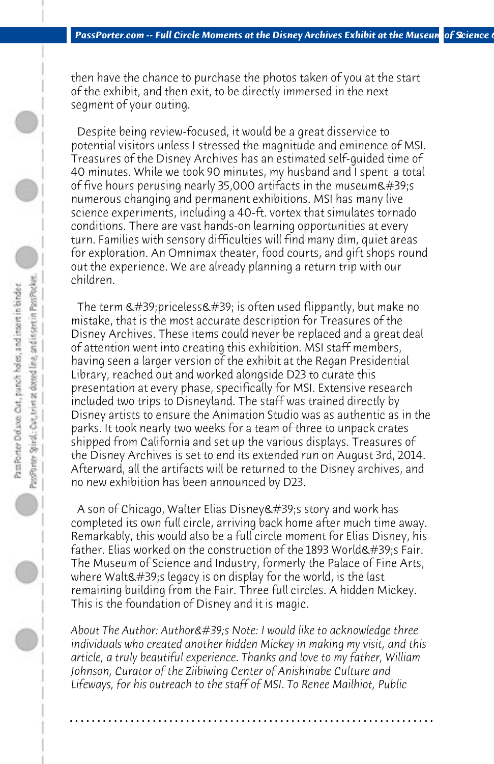then have the chance to purchase the photos taken of you at the start of the exhibit, and then exit, to be directly immersed in the next segment of your outing.

 Despite being review-focused, it would be a great disservice to potential visitors unless I stressed the magnitude and eminence of MSI. Treasures of the Disney Archives has an estimated self-guided time of 40 minutes. While we took 90 minutes, my husband and I spent a total of five hours perusing nearly 35,000 artifacts in the museum $\&$ #39;s numerous changing and permanent exhibitions. MSI has many live science experiments, including a 40-ft. vortex that simulates tornado conditions. There are vast hands-on learning opportunities at every turn. Families with sensory difficulties will find many dim, quiet areas for exploration. An Omnimax theater, food courts, and gift shops round out the experience. We are already planning a return trip with our children.

The term  $\&\#39$ ; priceless $&\#39$ ; is often used flippantly, but make no mistake, that is the most accurate description for Treasures of the Disney Archives. These items could never be replaced and a great deal of attention went into creating this exhibition. MSI staff members, having seen a larger version of the exhibit at the Regan Presidential Library, reached out and worked alongside D23 to curate this presentation at every phase, specifically for MSI. Extensive research included two trips to Disneyland. The staff was trained directly by Disney artists to ensure the Animation Studio was as authentic as in the parks. It took nearly two weeks for a team of three to unpack crates shipped from California and set up the various displays. Treasures of the Disney Archives is set to end its extended run on August 3rd, 2014. Afterward, all the artifacts will be returned to the Disney archives, and no new exhibition has been announced by D23.

A son of Chicago, Walter Elias Disney's story and work has completed its own full circle, arriving back home after much time away. Remarkably, this would also be a full circle moment for Elias Disney, his father. Elias worked on the construction of the 1893 World's Fair. The Museum of Science and Industry, formerly the Palace of Fine Arts, where Walt's legacy is on display for the world, is the last remaining building from the Fair. Three full circles. A hidden Mickey. This is the foundation of Disney and it is magic.

*About The Author: Author's Note: I would like to acknowledge three individuals who created another hidden Mickey in making my visit, and this article, a truly beautiful experience. Thanks and love to my father, William Johnson, Curator of the Ziibiwing Center of Anishinabe Culture and Lifeways, for his outreach to the staff of MSI. To Renee Mailhiot, Public*

**. . . . . . . . . . . . . . . . . . . . . . . . . . . . . . . . . . . . . . . . . . . . . . . . . . . . . . . . . . . . . . . . . .**